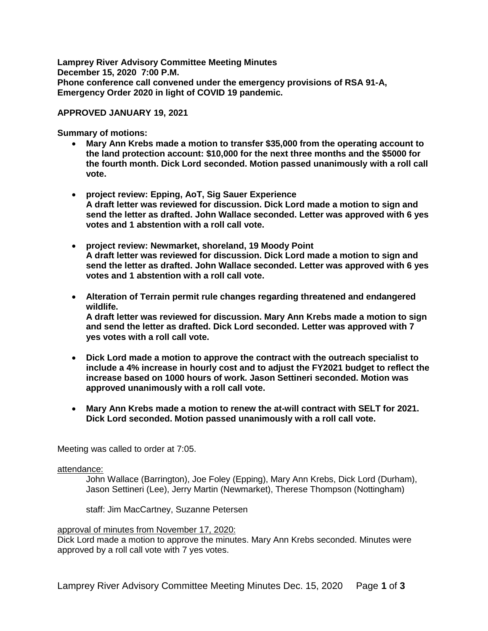**Lamprey River Advisory Committee Meeting Minutes December 15, 2020 7:00 P.M. Phone conference call convened under the emergency provisions of RSA 91-A, Emergency Order 2020 in light of COVID 19 pandemic.** 

#### **APPROVED JANUARY 19, 2021**

**Summary of motions:**

- **Mary Ann Krebs made a motion to transfer \$35,000 from the operating account to the land protection account: \$10,000 for the next three months and the \$5000 for the fourth month. Dick Lord seconded. Motion passed unanimously with a roll call vote.**
- **project review: Epping, AoT, Sig Sauer Experience A draft letter was reviewed for discussion. Dick Lord made a motion to sign and send the letter as drafted. John Wallace seconded. Letter was approved with 6 yes votes and 1 abstention with a roll call vote.**
- **project review: Newmarket, shoreland, 19 Moody Point A draft letter was reviewed for discussion. Dick Lord made a motion to sign and send the letter as drafted. John Wallace seconded. Letter was approved with 6 yes votes and 1 abstention with a roll call vote.**
- **Alteration of Terrain permit rule changes regarding threatened and endangered wildlife. A draft letter was reviewed for discussion. Mary Ann Krebs made a motion to sign and send the letter as drafted. Dick Lord seconded. Letter was approved with 7**
- **Dick Lord made a motion to approve the contract with the outreach specialist to include a 4% increase in hourly cost and to adjust the FY2021 budget to reflect the increase based on 1000 hours of work. Jason Settineri seconded. Motion was approved unanimously with a roll call vote.**
- **Mary Ann Krebs made a motion to renew the at-will contract with SELT for 2021. Dick Lord seconded. Motion passed unanimously with a roll call vote.**

Meeting was called to order at 7:05.

#### attendance:

John Wallace (Barrington), Joe Foley (Epping), Mary Ann Krebs, Dick Lord (Durham), Jason Settineri (Lee), Jerry Martin (Newmarket), Therese Thompson (Nottingham)

staff: Jim MacCartney, Suzanne Petersen

#### approval of minutes from November 17, 2020:

**yes votes with a roll call vote.** 

Dick Lord made a motion to approve the minutes. Mary Ann Krebs seconded. Minutes were approved by a roll call vote with 7 yes votes.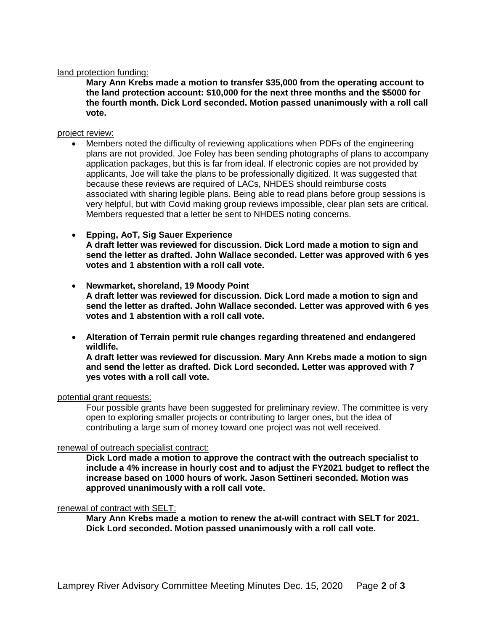#### land protection funding:

**Mary Ann Krebs made a motion to transfer \$35,000 from the operating account to the land protection account: \$10,000 for the next three months and the \$5000 for the fourth month. Dick Lord seconded. Motion passed unanimously with a roll call vote.** 

#### project review:

- Members noted the difficulty of reviewing applications when PDFs of the engineering plans are not provided. Joe Foley has been sending photographs of plans to accompany application packages, but this is far from ideal. If electronic copies are not provided by applicants, Joe will take the plans to be professionally digitized. It was suggested that because these reviews are required of LACs, NHDES should reimburse costs associated with sharing legible plans. Being able to read plans before group sessions is very helpful, but with Covid making group reviews impossible, clear plan sets are critical. Members requested that a letter be sent to NHDES noting concerns.
- **Epping, AoT, Sig Sauer Experience A draft letter was reviewed for discussion. Dick Lord made a motion to sign and send the letter as drafted. John Wallace seconded. Letter was approved with 6 yes votes and 1 abstention with a roll call vote.**
- **Newmarket, shoreland, 19 Moody Point A draft letter was reviewed for discussion. Dick Lord made a motion to sign and send the letter as drafted. John Wallace seconded. Letter was approved with 6 yes votes and 1 abstention with a roll call vote.**
- **Alteration of Terrain permit rule changes regarding threatened and endangered wildlife.**

**A draft letter was reviewed for discussion. Mary Ann Krebs made a motion to sign and send the letter as drafted. Dick Lord seconded. Letter was approved with 7 yes votes with a roll call vote.** 

#### potential grant requests:

Four possible grants have been suggested for preliminary review. The committee is very open to exploring smaller projects or contributing to larger ones, but the idea of contributing a large sum of money toward one project was not well received.

### renewal of outreach specialist contract:

**Dick Lord made a motion to approve the contract with the outreach specialist to include a 4% increase in hourly cost and to adjust the FY2021 budget to reflect the increase based on 1000 hours of work. Jason Settineri seconded. Motion was approved unanimously with a roll call vote.** 

#### renewal of contract with SELT:

**Mary Ann Krebs made a motion to renew the at-will contract with SELT for 2021. Dick Lord seconded. Motion passed unanimously with a roll call vote.**